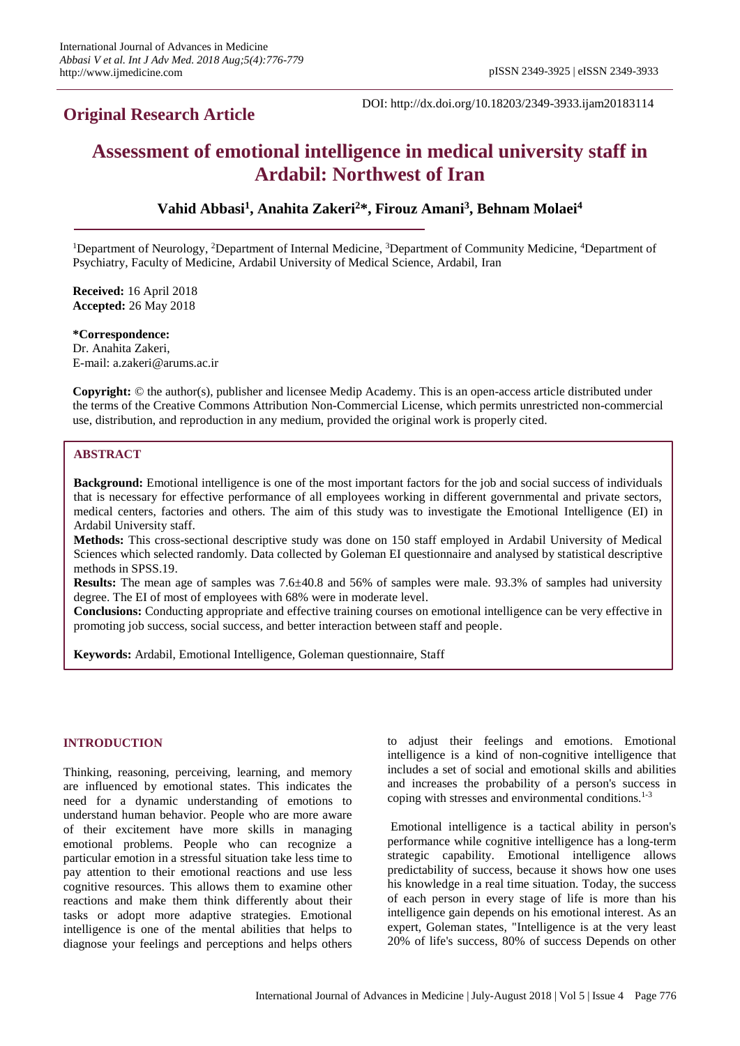# **Original Research Article**

DOI: http://dx.doi.org/10.18203/2349-3933.ijam20183114

# **Assessment of emotional intelligence in medical university staff in Ardabil: Northwest of Iran**

# **Vahid Abbasi<sup>1</sup> , Anahita Zakeri<sup>2</sup>\*, Firouz Amani<sup>3</sup> , Behnam Molaei<sup>4</sup>**

<sup>1</sup>Department of Neurology, <sup>2</sup>Department of Internal Medicine, <sup>3</sup>Department of Community Medicine, <sup>4</sup>Department of Psychiatry, Faculty of Medicine, Ardabil University of Medical Science, Ardabil, Iran

**Received:** 16 April 2018 **Accepted:** 26 May 2018

**\*Correspondence:** Dr. Anahita Zakeri, E-mail: a.zakeri@arums.ac.ir

**Copyright:** © the author(s), publisher and licensee Medip Academy. This is an open-access article distributed under the terms of the Creative Commons Attribution Non-Commercial License, which permits unrestricted non-commercial use, distribution, and reproduction in any medium, provided the original work is properly cited.

#### **ABSTRACT**

**Background:** Emotional intelligence is one of the most important factors for the job and social success of individuals that is necessary for effective performance of all employees working in different governmental and private sectors, medical centers, factories and others. The aim of this study was to investigate the Emotional Intelligence (EI) in Ardabil University staff.

**Methods:** This cross-sectional descriptive study was done on 150 staff employed in Ardabil University of Medical Sciences which selected randomly. Data collected by Goleman EI questionnaire and analysed by statistical descriptive methods in SPSS.19.

**Results:** The mean age of samples was 7.6±40.8 and 56% of samples were male. 93.3% of samples had university degree. The EI of most of employees with 68% were in moderate level.

**Conclusions:** Conducting appropriate and effective training courses on emotional intelligence can be very effective in promoting job success, social success, and better interaction between staff and people.

**Keywords:** Ardabil, Emotional Intelligence, Goleman questionnaire, Staff

#### **INTRODUCTION**

Thinking, reasoning, perceiving, learning, and memory are influenced by emotional states. This indicates the need for a dynamic understanding of emotions to understand human behavior. People who are more aware of their excitement have more skills in managing emotional problems. People who can recognize a particular emotion in a stressful situation take less time to pay attention to their emotional reactions and use less cognitive resources. This allows them to examine other reactions and make them think differently about their tasks or adopt more adaptive strategies. Emotional intelligence is one of the mental abilities that helps to diagnose your feelings and perceptions and helps others to adjust their feelings and emotions. Emotional intelligence is a kind of non-cognitive intelligence that includes a set of social and emotional skills and abilities and increases the probability of a person's success in coping with stresses and environmental conditions.<sup>1-3</sup>

Emotional intelligence is a tactical ability in person's performance while cognitive intelligence has a long-term strategic capability. Emotional intelligence allows predictability of success, because it shows how one uses his knowledge in a real time situation. Today, the success of each person in every stage of life is more than his intelligence gain depends on his emotional interest. As an expert, Goleman states, "Intelligence is at the very least 20% of life's success, 80% of success Depends on other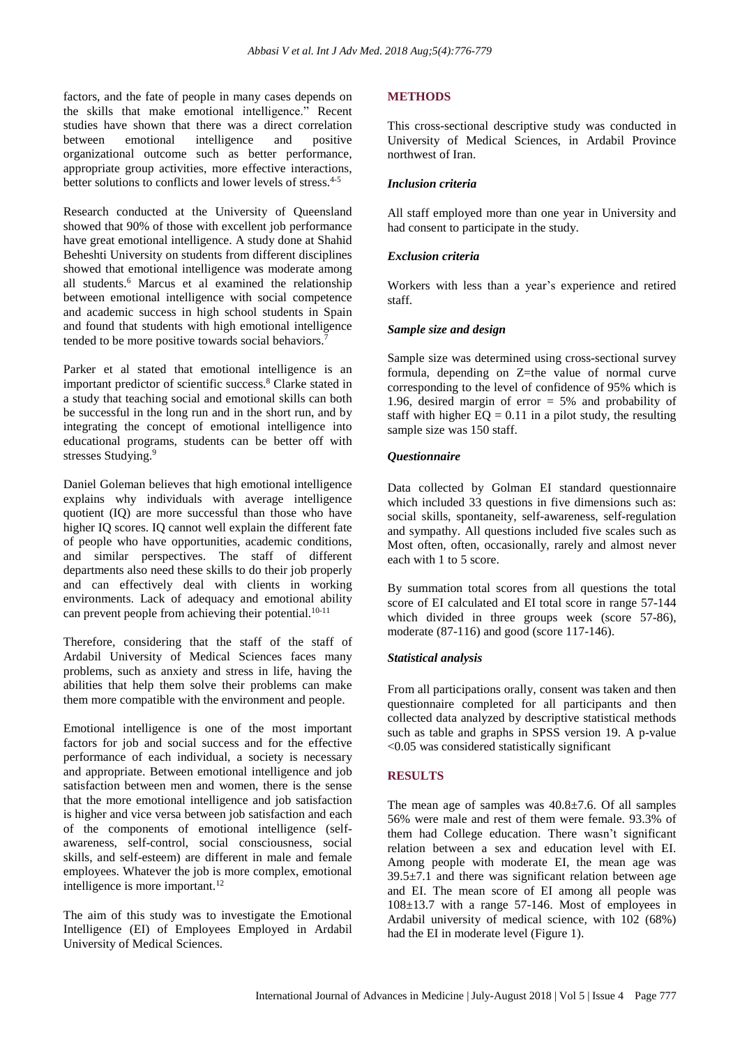factors, and the fate of people in many cases depends on the skills that make emotional intelligence." Recent studies have shown that there was a direct correlation between emotional intelligence and positive organizational outcome such as better performance, appropriate group activities, more effective interactions, better solutions to conflicts and lower levels of stress.<sup>4-5</sup>

Research conducted at the University of Queensland showed that 90% of those with excellent job performance have great emotional intelligence. A study done at Shahid Beheshti University on students from different disciplines showed that emotional intelligence was moderate among all students.<sup>6</sup> Marcus et al examined the relationship between emotional intelligence with social competence and academic success in high school students in Spain and found that students with high emotional intelligence tended to be more positive towards social behaviors.<sup>7</sup>

Parker et al stated that emotional intelligence is an important predictor of scientific success.<sup>8</sup> Clarke stated in a study that teaching social and emotional skills can both be successful in the long run and in the short run, and by integrating the concept of emotional intelligence into educational programs, students can be better off with stresses Studying.<sup>9</sup>

Daniel Goleman believes that high emotional intelligence explains why individuals with average intelligence quotient (IQ) are more successful than those who have higher IQ scores. IQ cannot well explain the different fate of people who have opportunities, academic conditions, and similar perspectives. The staff of different departments also need these skills to do their job properly and can effectively deal with clients in working environments. Lack of adequacy and emotional ability can prevent people from achieving their potential.<sup>10-11</sup>

Therefore, considering that the staff of the staff of Ardabil University of Medical Sciences faces many problems, such as anxiety and stress in life, having the abilities that help them solve their problems can make them more compatible with the environment and people.

Emotional intelligence is one of the most important factors for job and social success and for the effective performance of each individual, a society is necessary and appropriate. Between emotional intelligence and job satisfaction between men and women, there is the sense that the more emotional intelligence and job satisfaction is higher and vice versa between job satisfaction and each of the components of emotional intelligence (selfawareness, self-control, social consciousness, social skills, and self-esteem) are different in male and female employees. Whatever the job is more complex, emotional intelligence is more important.<sup>12</sup>

The aim of this study was to investigate the Emotional Intelligence (EI) of Employees Employed in Ardabil University of Medical Sciences.

## **METHODS**

This cross-sectional descriptive study was conducted in University of Medical Sciences, in Ardabil Province northwest of Iran.

#### *Inclusion criteria*

All staff employed more than one year in University and had consent to participate in the study.

#### *Exclusion criteria*

Workers with less than a year's experience and retired staff.

#### *Sample size and design*

Sample size was determined using cross-sectional survey formula, depending on Z=the value of normal curve corresponding to the level of confidence of 95% which is 1.96, desired margin of error = 5% and probability of staff with higher  $EQ = 0.11$  in a pilot study, the resulting sample size was 150 staff.

#### *Questionnaire*

Data collected by Golman EI standard questionnaire which included 33 questions in five dimensions such as: social skills, spontaneity, self-awareness, self-regulation and sympathy. All questions included five scales such as Most often, often, occasionally, rarely and almost never each with 1 to 5 score.

By summation total scores from all questions the total score of EI calculated and EI total score in range 57-144 which divided in three groups week (score 57-86), moderate (87-116) and good (score 117-146).

#### *Statistical analysis*

From all participations orally, consent was taken and then questionnaire completed for all participants and then collected data analyzed by descriptive statistical methods such as table and graphs in SPSS version 19. A p-value <0.05 was considered statistically significant

#### **RESULTS**

The mean age of samples was 40.8±7.6. Of all samples 56% were male and rest of them were female. 93.3% of them had College education. There wasn't significant relation between a sex and education level with EI. Among people with moderate EI, the mean age was  $39.5\pm7.1$  and there was significant relation between age and EI. The mean score of EI among all people was 108±13.7 with a range 57-146. Most of employees in Ardabil university of medical science, with 102 (68%) had the EI in moderate level (Figure 1).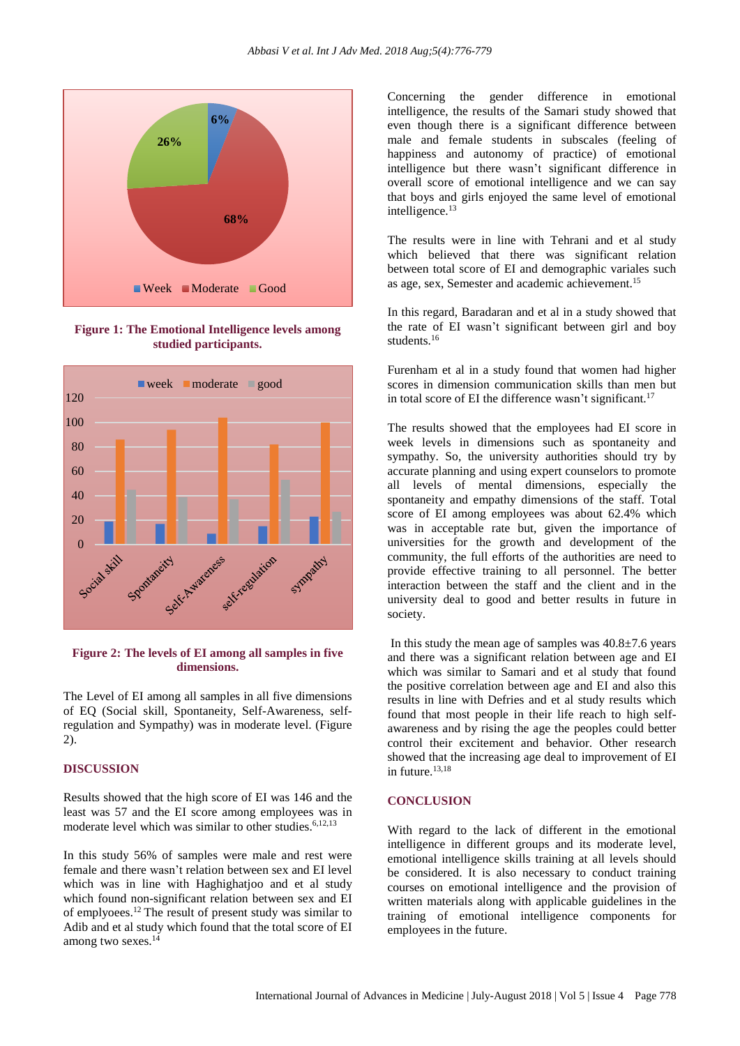

**Figure 1: The Emotional Intelligence levels among studied participants.**



#### **Figure 2: The levels of EI among all samples in five dimensions.**

The Level of EI among all samples in all five dimensions of EQ (Social skill, Spontaneity, Self-Awareness, selfregulation and Sympathy) was in moderate level. (Figure 2).

### **DISCUSSION**

Results showed that the high score of EI was 146 and the least was 57 and the EI score among employees was in moderate level which was similar to other studies.<sup>6,12,13</sup>

In this study 56% of samples were male and rest were female and there wasn't relation between sex and EI level which was in line with Haghighatjoo and et al study which found non-significant relation between sex and EI of emplyoees.<sup>12</sup> The result of present study was similar to Adib and et al study which found that the total score of EI among two sexes.<sup>14</sup>

Concerning the gender difference in emotional intelligence, the results of the Samari study showed that even though there is a significant difference between male and female students in subscales (feeling of happiness and autonomy of practice) of emotional intelligence but there wasn't significant difference in overall score of emotional intelligence and we can say that boys and girls enjoyed the same level of emotional intelligence.<sup>13</sup>

The results were in line with Tehrani and et al study which believed that there was significant relation between total score of EI and demographic variales such as age, sex, Semester and academic achievement.<sup>15</sup>

In this regard, Baradaran and et al in a study showed that the rate of EI wasn't significant between girl and boy students.<sup>16</sup>

Furenham et al in a study found that women had higher scores in dimension communication skills than men but in total score of EI the difference wasn't significant.<sup>17</sup>

The results showed that the employees had EI score in week levels in dimensions such as spontaneity and sympathy. So, the university authorities should try by accurate planning and using expert counselors to promote all levels of mental dimensions, especially the spontaneity and empathy dimensions of the staff. Total score of EI among employees was about 62.4% which was in acceptable rate but, given the importance of universities for the growth and development of the community, the full efforts of the authorities are need to provide effective training to all personnel. The better interaction between the staff and the client and in the university deal to good and better results in future in society.

In this study the mean age of samples was  $40.8 \pm 7.6$  years and there was a significant relation between age and EI which was similar to Samari and et al study that found the positive correlation between age and EI and also this results in line with Defries and et al study results which found that most people in their life reach to high selfawareness and by rising the age the peoples could better control their excitement and behavior. Other research showed that the increasing age deal to improvement of EI in future. $13,18$ 

#### **CONCLUSION**

With regard to the lack of different in the emotional intelligence in different groups and its moderate level, emotional intelligence skills training at all levels should be considered. It is also necessary to conduct training courses on emotional intelligence and the provision of written materials along with applicable guidelines in the training of emotional intelligence components for employees in the future.